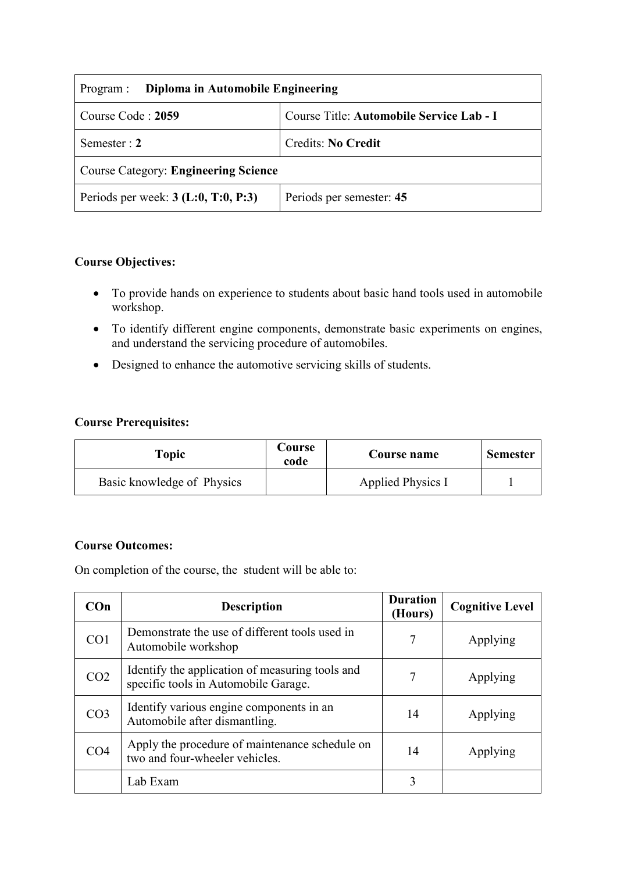| Diploma in Automobile Engineering<br>Program :                |                           |  |  |
|---------------------------------------------------------------|---------------------------|--|--|
| Course Code: 2059<br>Course Title: Automobile Service Lab - I |                           |  |  |
| Semester : $2$                                                | <b>Credits: No Credit</b> |  |  |
| <b>Course Category: Engineering Science</b>                   |                           |  |  |
| Periods per week: $3$ (L:0, T:0, P:3)                         | Periods per semester: 45  |  |  |

### **Course Objectives:**

- To provide hands on experience to students about basic hand tools used in automobile workshop.
- To identify different engine components, demonstrate basic experiments on engines, and understand the servicing procedure of automobiles.
- Designed to enhance the automotive servicing skills of students.

#### **Course Prerequisites:**

| Topic                      | Course<br>code | Course name       | <b>Semester</b> |
|----------------------------|----------------|-------------------|-----------------|
| Basic knowledge of Physics |                | Applied Physics I |                 |

#### **Course Outcomes:**

On completion of the course, the student will be able to:

| COn             | <b>Description</b>                                                                      | <b>Duration</b><br>(Hours) | <b>Cognitive Level</b> |
|-----------------|-----------------------------------------------------------------------------------------|----------------------------|------------------------|
| CO <sub>1</sub> | Demonstrate the use of different tools used in<br>Automobile workshop                   | 7                          | Applying               |
| CO <sub>2</sub> | Identify the application of measuring tools and<br>specific tools in Automobile Garage. | 7                          | Applying               |
| CO <sub>3</sub> | Identify various engine components in an<br>Automobile after dismantling.               | 14                         | Applying               |
| CO <sub>4</sub> | Apply the procedure of maintenance schedule on<br>two and four-wheeler vehicles.        | 14                         | Applying               |
|                 | Lab Exam                                                                                | 3                          |                        |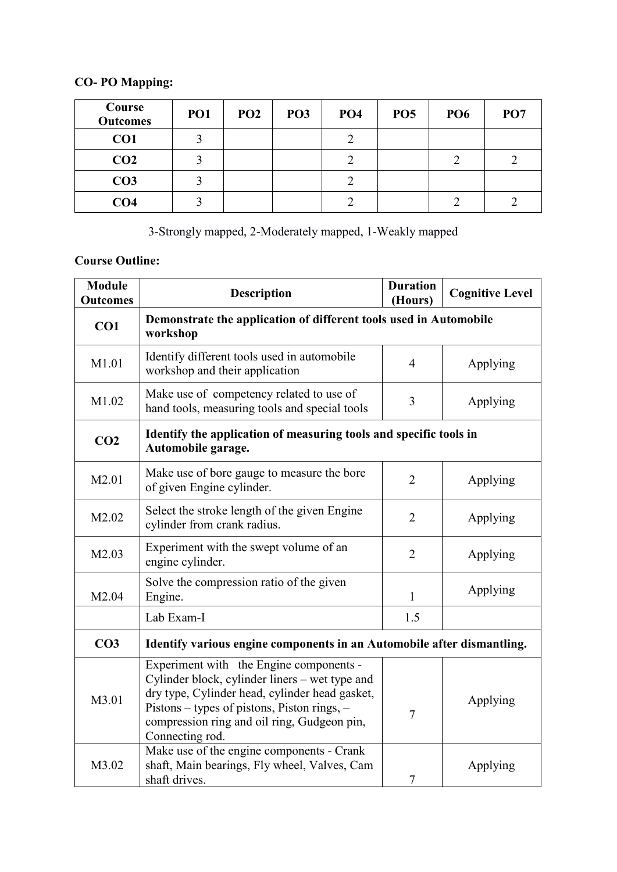# **CO- PO Mapping:**

| Course<br><b>Outcomes</b> | PO <sub>1</sub> | PO <sub>2</sub> | PO <sub>3</sub> | PO <sub>4</sub> | PO <sub>5</sub> | PO <sub>6</sub> | PO <sub>7</sub> |
|---------------------------|-----------------|-----------------|-----------------|-----------------|-----------------|-----------------|-----------------|
| CO1                       |                 |                 |                 | $\bigcap$       |                 |                 |                 |
| CO <sub>2</sub>           |                 |                 |                 | ◠               |                 |                 |                 |
| CO <sub>3</sub>           |                 |                 |                 | ◠               |                 |                 |                 |
| CO <sub>4</sub>           |                 |                 |                 | $\bigcap$       |                 |                 |                 |

3-Strongly mapped, 2-Moderately mapped, 1-Weakly mapped

## **Course Outline:**

| <b>Module</b><br><b>Outcomes</b> | <b>Description</b>                                                                                                                                                                                                                                           | <b>Duration</b><br>(Hours) | <b>Cognitive Level</b> |
|----------------------------------|--------------------------------------------------------------------------------------------------------------------------------------------------------------------------------------------------------------------------------------------------------------|----------------------------|------------------------|
| CO1                              | Demonstrate the application of different tools used in Automobile<br>workshop                                                                                                                                                                                |                            |                        |
| M1.01                            | Identify different tools used in automobile<br>workshop and their application                                                                                                                                                                                | 4                          | Applying               |
| M1.02                            | Make use of competency related to use of<br>3<br>hand tools, measuring tools and special tools                                                                                                                                                               |                            | Applying               |
| CO <sub>2</sub>                  | Identify the application of measuring tools and specific tools in<br>Automobile garage.                                                                                                                                                                      |                            |                        |
| M2.01                            | Make use of bore gauge to measure the bore<br>of given Engine cylinder.                                                                                                                                                                                      | $\overline{2}$             | Applying               |
| M2.02                            | Select the stroke length of the given Engine<br>cylinder from crank radius.                                                                                                                                                                                  | $\overline{2}$             | Applying               |
| M2.03                            | Experiment with the swept volume of an<br>engine cylinder.                                                                                                                                                                                                   | $\overline{2}$             | Applying               |
| M <sub>2.04</sub>                | Solve the compression ratio of the given<br>Engine.                                                                                                                                                                                                          | $\mathbf{1}$               | Applying               |
|                                  | 1.5<br>Lab Exam-I                                                                                                                                                                                                                                            |                            |                        |
| CO <sub>3</sub>                  | Identify various engine components in an Automobile after dismantling.                                                                                                                                                                                       |                            |                        |
| M3.01                            | Experiment with the Engine components -<br>Cylinder block, cylinder liners - wet type and<br>dry type, Cylinder head, cylinder head gasket,<br>Pistons – types of pistons, Piston rings, –<br>compression ring and oil ring, Gudgeon pin,<br>Connecting rod. | 7                          | Applying               |
| M3.02                            | Make use of the engine components - Crank<br>shaft, Main bearings, Fly wheel, Valves, Cam<br>shaft drives.                                                                                                                                                   | $\overline{7}$             | Applying               |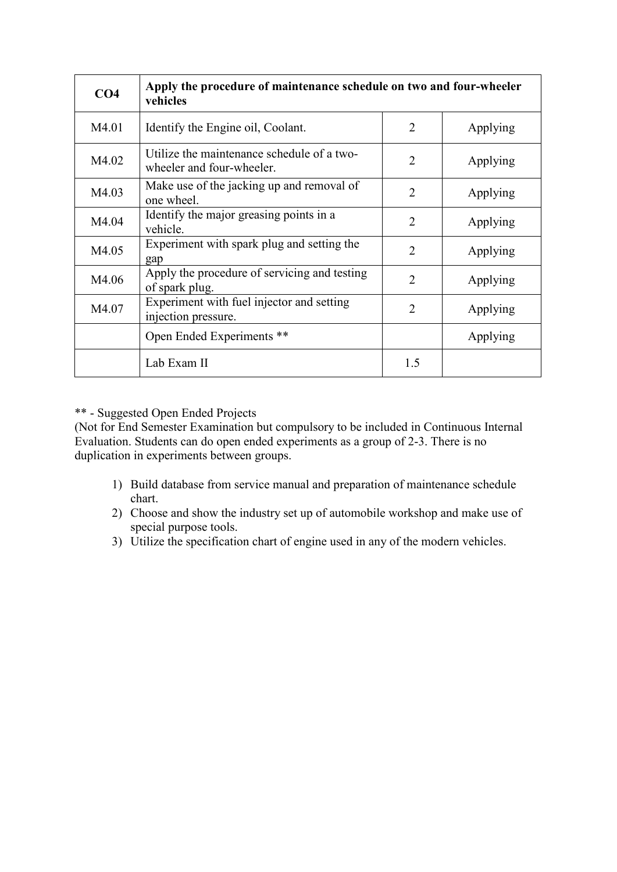| CO <sub>4</sub> | Apply the procedure of maintenance schedule on two and four-wheeler<br>vehicles |                |          |
|-----------------|---------------------------------------------------------------------------------|----------------|----------|
| M4.01           | Identify the Engine oil, Coolant.                                               | $\overline{2}$ | Applying |
| M4.02           | Utilize the maintenance schedule of a two-<br>wheeler and four-wheeler.         | $\overline{2}$ | Applying |
| M4.03           | Make use of the jacking up and removal of<br>one wheel.                         | 2              | Applying |
| M4.04           | Identify the major greasing points in a<br>vehicle.                             | 2              | Applying |
| M4.05           | Experiment with spark plug and setting the<br>gap                               | $\overline{2}$ | Applying |
| M4.06           | Apply the procedure of servicing and testing<br>of spark plug.                  | $\overline{2}$ | Applying |
| M4.07           | Experiment with fuel injector and setting<br>injection pressure.                | $\overline{2}$ | Applying |
|                 | Open Ended Experiments **                                                       |                | Applying |
|                 | Lab Exam II                                                                     | 1.5            |          |

#### \*\* - Suggested Open Ended Projects

(Not for End Semester Examination but compulsory to be included in Continuous Internal Evaluation. Students can do open ended experiments as a group of 2-3. There is no duplication in experiments between groups.

- 1) Build database from service manual and preparation of maintenance schedule chart.
- 2) Choose and show the industry set up of automobile workshop and make use of special purpose tools.
- 3) Utilize the specification chart of engine used in any of the modern vehicles.